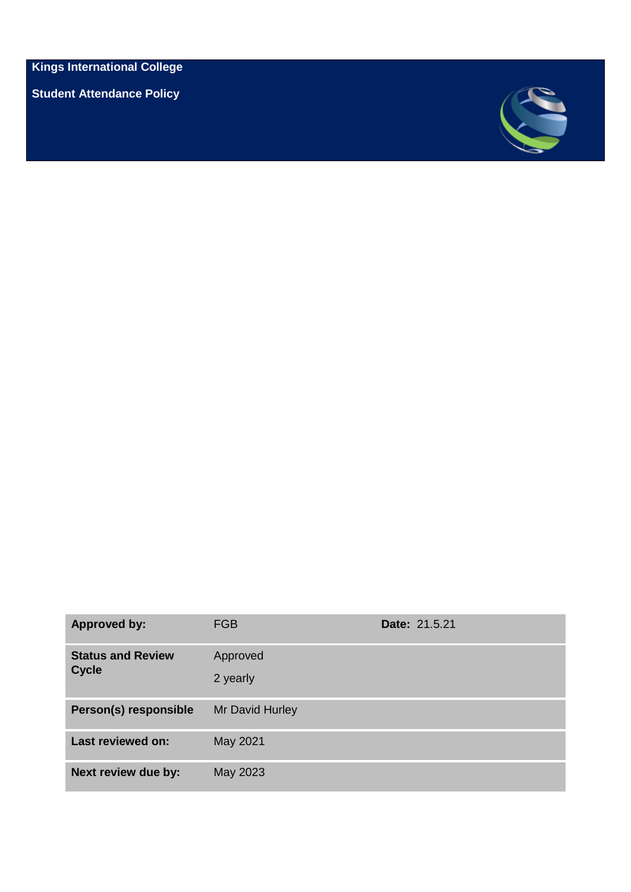**Kings International College**

**Student Attendance Policy** 



| <b>Approved by:</b>                      | <b>FGB</b>           | Date: 21.5.21 |
|------------------------------------------|----------------------|---------------|
| <b>Status and Review</b><br><b>Cycle</b> | Approved<br>2 yearly |               |
| Person(s) responsible                    | Mr David Hurley      |               |
| <b>Last reviewed on:</b>                 | May 2021             |               |
| Next review due by:                      | May 2023             |               |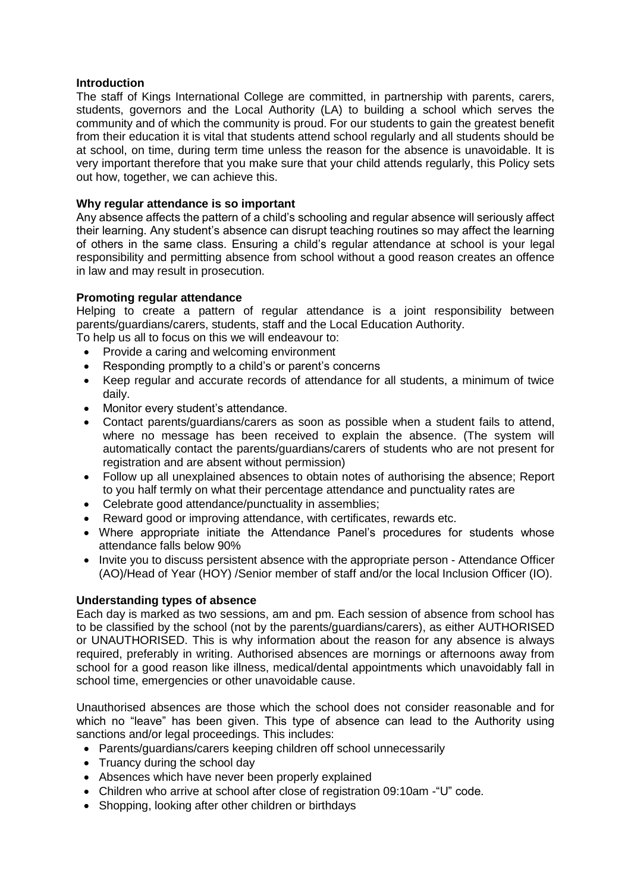## **Introduction**

The staff of Kings International College are committed, in partnership with parents, carers, students, governors and the Local Authority (LA) to building a school which serves the community and of which the community is proud. For our students to gain the greatest benefit from their education it is vital that students attend school regularly and all students should be at school, on time, during term time unless the reason for the absence is unavoidable. It is very important therefore that you make sure that your child attends regularly, this Policy sets out how, together, we can achieve this.

## **Why regular attendance is so important**

Any absence affects the pattern of a child's schooling and regular absence will seriously affect their learning. Any student's absence can disrupt teaching routines so may affect the learning of others in the same class. Ensuring a child's regular attendance at school is your legal responsibility and permitting absence from school without a good reason creates an offence in law and may result in prosecution.

## **Promoting regular attendance**

Helping to create a pattern of regular attendance is a joint responsibility between parents/guardians/carers, students, staff and the Local Education Authority.

- To help us all to focus on this we will endeavour to:
	- Provide a caring and welcoming environment
	- Responding promptly to a child's or parent's concerns
	- Keep regular and accurate records of attendance for all students, a minimum of twice daily.
	- Monitor every student's attendance.
	- Contact parents/guardians/carers as soon as possible when a student fails to attend, where no message has been received to explain the absence. (The system will automatically contact the parents/guardians/carers of students who are not present for registration and are absent without permission)
	- Follow up all unexplained absences to obtain notes of authorising the absence; Report to you half termly on what their percentage attendance and punctuality rates are
	- Celebrate good attendance/punctuality in assemblies;
	- Reward good or improving attendance, with certificates, rewards etc.
	- Where appropriate initiate the Attendance Panel's procedures for students whose attendance falls below 90%
	- Invite you to discuss persistent absence with the appropriate person Attendance Officer (AO)/Head of Year (HOY) /Senior member of staff and/or the local Inclusion Officer (IO).

### **Understanding types of absence**

Each day is marked as two sessions, am and pm. Each session of absence from school has to be classified by the school (not by the parents/guardians/carers), as either AUTHORISED or UNAUTHORISED. This is why information about the reason for any absence is always required, preferably in writing. Authorised absences are mornings or afternoons away from school for a good reason like illness, medical/dental appointments which unavoidably fall in school time, emergencies or other unavoidable cause.

Unauthorised absences are those which the school does not consider reasonable and for which no "leave" has been given. This type of absence can lead to the Authority using sanctions and/or legal proceedings. This includes:

- Parents/guardians/carers keeping children off school unnecessarily
- Truancy during the school day
- Absences which have never been properly explained
- Children who arrive at school after close of registration 09:10am -"U" code.
- Shopping, looking after other children or birthdays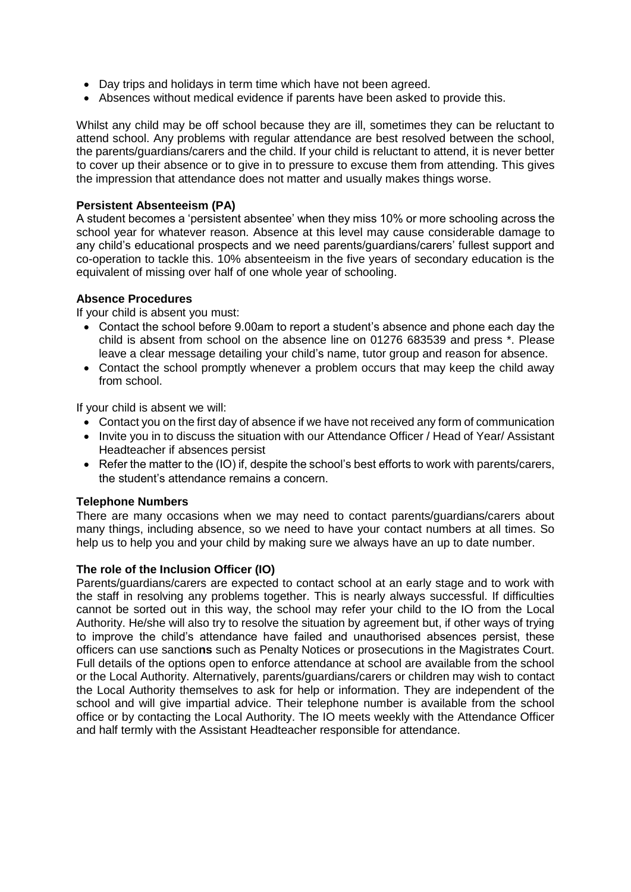- Day trips and holidays in term time which have not been agreed.
- Absences without medical evidence if parents have been asked to provide this.

Whilst any child may be off school because they are ill, sometimes they can be reluctant to attend school. Any problems with regular attendance are best resolved between the school, the parents/guardians/carers and the child. If your child is reluctant to attend, it is never better to cover up their absence or to give in to pressure to excuse them from attending. This gives the impression that attendance does not matter and usually makes things worse.

### **Persistent Absenteeism (PA)**

A student becomes a 'persistent absentee' when they miss 10% or more schooling across the school year for whatever reason. Absence at this level may cause considerable damage to any child's educational prospects and we need parents/guardians/carers' fullest support and co-operation to tackle this. 10% absenteeism in the five years of secondary education is the equivalent of missing over half of one whole year of schooling.

### **Absence Procedures**

If your child is absent you must:

- Contact the school before 9.00am to report a student's absence and phone each day the child is absent from school on the absence line on 01276 683539 and press \*. Please leave a clear message detailing your child's name, tutor group and reason for absence.
- Contact the school promptly whenever a problem occurs that may keep the child away from school.

If your child is absent we will:

- Contact you on the first day of absence if we have not received any form of communication
- Invite you in to discuss the situation with our Attendance Officer / Head of Year/ Assistant Headteacher if absences persist
- Refer the matter to the (IO) if, despite the school's best efforts to work with parents/carers, the student's attendance remains a concern.

### **Telephone Numbers**

There are many occasions when we may need to contact parents/guardians/carers about many things, including absence, so we need to have your contact numbers at all times. So help us to help you and your child by making sure we always have an up to date number.

## **The role of the Inclusion Officer (IO)**

Parents/guardians/carers are expected to contact school at an early stage and to work with the staff in resolving any problems together. This is nearly always successful. If difficulties cannot be sorted out in this way, the school may refer your child to the IO from the Local Authority. He/she will also try to resolve the situation by agreement but, if other ways of trying to improve the child's attendance have failed and unauthorised absences persist, these officers can use sanctio**ns** such as Penalty Notices or prosecutions in the Magistrates Court. Full details of the options open to enforce attendance at school are available from the school or the Local Authority. Alternatively, parents/guardians/carers or children may wish to contact the Local Authority themselves to ask for help or information. They are independent of the school and will give impartial advice. Their telephone number is available from the school office or by contacting the Local Authority. The IO meets weekly with the Attendance Officer and half termly with the Assistant Headteacher responsible for attendance.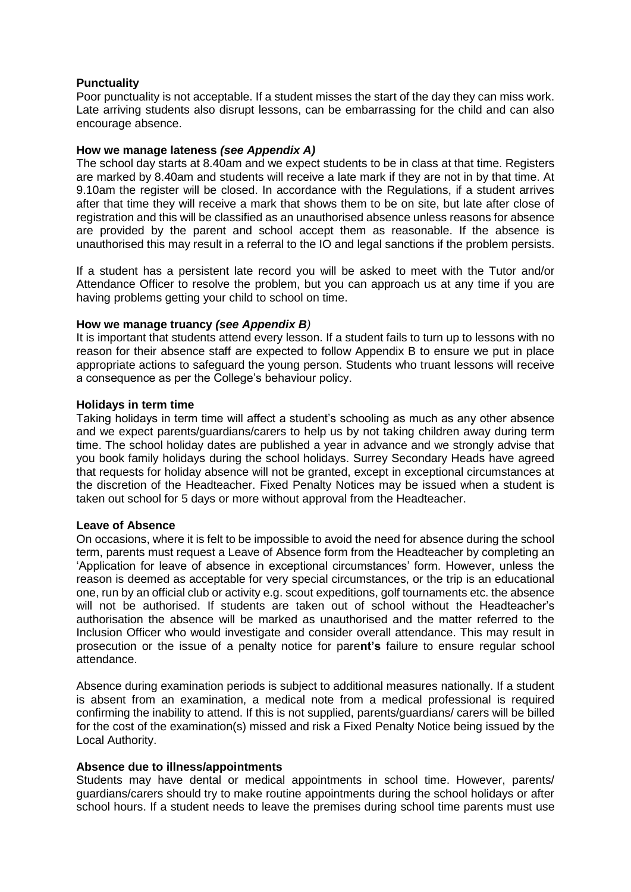## **Punctuality**

Poor punctuality is not acceptable. If a student misses the start of the day they can miss work. Late arriving students also disrupt lessons, can be embarrassing for the child and can also encourage absence.

### **How we manage lateness** *(see Appendix A)*

The school day starts at 8.40am and we expect students to be in class at that time. Registers are marked by 8.40am and students will receive a late mark if they are not in by that time. At 9.10am the register will be closed. In accordance with the Regulations, if a student arrives after that time they will receive a mark that shows them to be on site, but late after close of registration and this will be classified as an unauthorised absence unless reasons for absence are provided by the parent and school accept them as reasonable. If the absence is unauthorised this may result in a referral to the IO and legal sanctions if the problem persists.

If a student has a persistent late record you will be asked to meet with the Tutor and/or Attendance Officer to resolve the problem, but you can approach us at any time if you are having problems getting your child to school on time.

### **How we manage truancy** *(see Appendix B)*

It is important that students attend every lesson. If a student fails to turn up to lessons with no reason for their absence staff are expected to follow Appendix B to ensure we put in place appropriate actions to safeguard the young person. Students who truant lessons will receive a consequence as per the College's behaviour policy.

### **Holidays in term time**

Taking holidays in term time will affect a student's schooling as much as any other absence and we expect parents/guardians/carers to help us by not taking children away during term time. The school holiday dates are published a year in advance and we strongly advise that you book family holidays during the school holidays. Surrey Secondary Heads have agreed that requests for holiday absence will not be granted, except in exceptional circumstances at the discretion of the Headteacher. Fixed Penalty Notices may be issued when a student is taken out school for 5 days or more without approval from the Headteacher.

### **Leave of Absence**

On occasions, where it is felt to be impossible to avoid the need for absence during the school term, parents must request a Leave of Absence form from the Headteacher by completing an 'Application for leave of absence in exceptional circumstances' form. However, unless the reason is deemed as acceptable for very special circumstances, or the trip is an educational one, run by an official club or activity e.g. scout expeditions, golf tournaments etc. the absence will not be authorised. If students are taken out of school without the Headteacher's authorisation the absence will be marked as unauthorised and the matter referred to the Inclusion Officer who would investigate and consider overall attendance. This may result in prosecution or the issue of a penalty notice for pare**nt's** failure to ensure regular school attendance.

Absence during examination periods is subject to additional measures nationally. If a student is absent from an examination, a medical note from a medical professional is required confirming the inability to attend. If this is not supplied, parents/guardians/ carers will be billed for the cost of the examination(s) missed and risk a Fixed Penalty Notice being issued by the Local Authority.

### **Absence due to illness/appointments**

Students may have dental or medical appointments in school time. However, parents/ guardians/carers should try to make routine appointments during the school holidays or after school hours. If a student needs to leave the premises during school time parents must use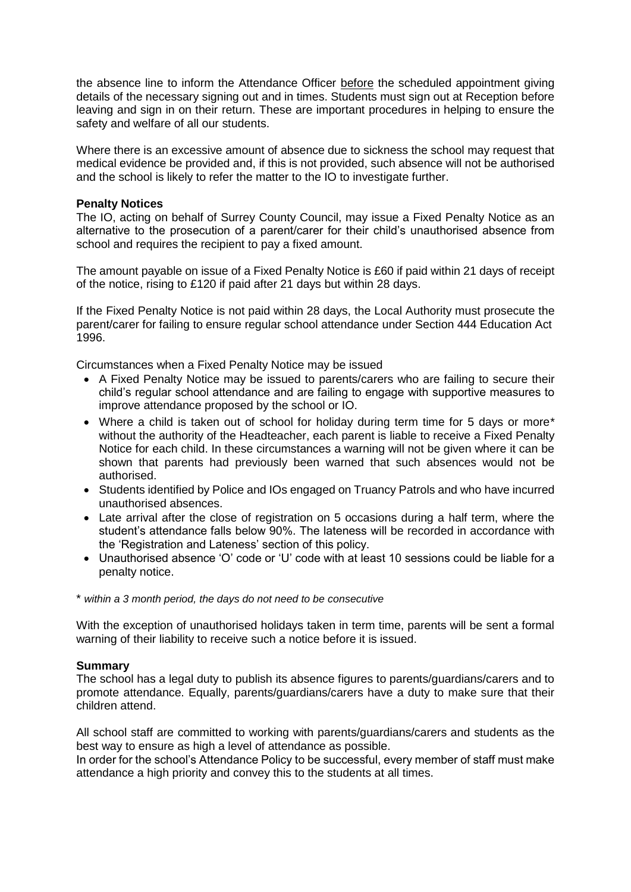the absence line to inform the Attendance Officer before the scheduled appointment giving details of the necessary signing out and in times. Students must sign out at Reception before leaving and sign in on their return. These are important procedures in helping to ensure the safety and welfare of all our students.

Where there is an excessive amount of absence due to sickness the school may request that medical evidence be provided and, if this is not provided, such absence will not be authorised and the school is likely to refer the matter to the IO to investigate further.

## **Penalty Notices**

The IO, acting on behalf of Surrey County Council, may issue a Fixed Penalty Notice as an alternative to the prosecution of a parent/carer for their child's unauthorised absence from school and requires the recipient to pay a fixed amount.

The amount payable on issue of a Fixed Penalty Notice is £60 if paid within 21 days of receipt of the notice, rising to £120 if paid after 21 days but within 28 days.

If the Fixed Penalty Notice is not paid within 28 days, the Local Authority must prosecute the parent/carer for failing to ensure regular school attendance under Section 444 Education Act 1996.

Circumstances when a Fixed Penalty Notice may be issued

- A Fixed Penalty Notice may be issued to parents/carers who are failing to secure their child's regular school attendance and are failing to engage with supportive measures to improve attendance proposed by the school or IO.
- Where a child is taken out of school for holiday during term time for 5 days or more\* without the authority of the Headteacher, each parent is liable to receive a Fixed Penalty Notice for each child. In these circumstances a warning will not be given where it can be shown that parents had previously been warned that such absences would not be authorised.
- Students identified by Police and IOs engaged on Truancy Patrols and who have incurred unauthorised absences.
- Late arrival after the close of registration on 5 occasions during a half term, where the student's attendance falls below 90%. The lateness will be recorded in accordance with the 'Registration and Lateness' section of this policy.
- Unauthorised absence 'O' code or 'U' code with at least 10 sessions could be liable for a penalty notice.
- \* *within a 3 month period, the days do not need to be consecutive*

With the exception of unauthorised holidays taken in term time, parents will be sent a formal warning of their liability to receive such a notice before it is issued.

### **Summary**

The school has a legal duty to publish its absence figures to parents/guardians/carers and to promote attendance. Equally, parents/guardians/carers have a duty to make sure that their children attend.

All school staff are committed to working with parents/guardians/carers and students as the best way to ensure as high a level of attendance as possible.

In order for the school's Attendance Policy to be successful, every member of staff must make attendance a high priority and convey this to the students at all times.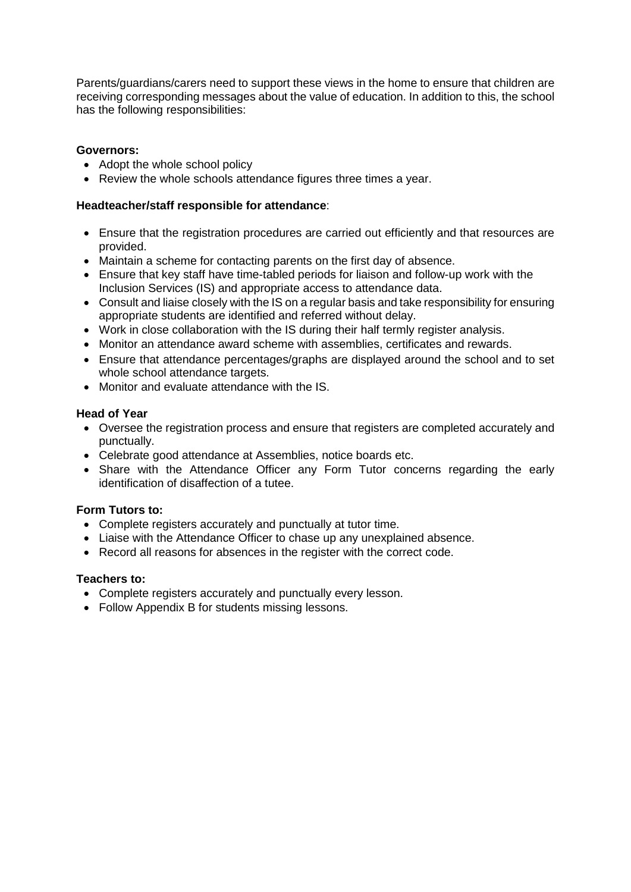Parents/guardians/carers need to support these views in the home to ensure that children are receiving corresponding messages about the value of education. In addition to this, the school has the following responsibilities:

## **Governors:**

- Adopt the whole school policy
- Review the whole schools attendance figures three times a year.

## **Headteacher/staff responsible for attendance**:

- Ensure that the registration procedures are carried out efficiently and that resources are provided.
- Maintain a scheme for contacting parents on the first day of absence.
- Ensure that key staff have time-tabled periods for liaison and follow-up work with the Inclusion Services (IS) and appropriate access to attendance data.
- Consult and liaise closely with the IS on a regular basis and take responsibility for ensuring appropriate students are identified and referred without delay.
- Work in close collaboration with the IS during their half termly register analysis.
- Monitor an attendance award scheme with assemblies, certificates and rewards.
- Ensure that attendance percentages/graphs are displayed around the school and to set whole school attendance targets.
- Monitor and evaluate attendance with the IS.

## **Head of Year**

- Oversee the registration process and ensure that registers are completed accurately and punctually.
- Celebrate good attendance at Assemblies, notice boards etc.
- Share with the Attendance Officer any Form Tutor concerns regarding the early identification of disaffection of a tutee.

## **Form Tutors to:**

- Complete registers accurately and punctually at tutor time.
- Liaise with the Attendance Officer to chase up any unexplained absence.
- Record all reasons for absences in the register with the correct code.

## **Teachers to:**

- Complete registers accurately and punctually every lesson.
- Follow Appendix B for students missing lessons.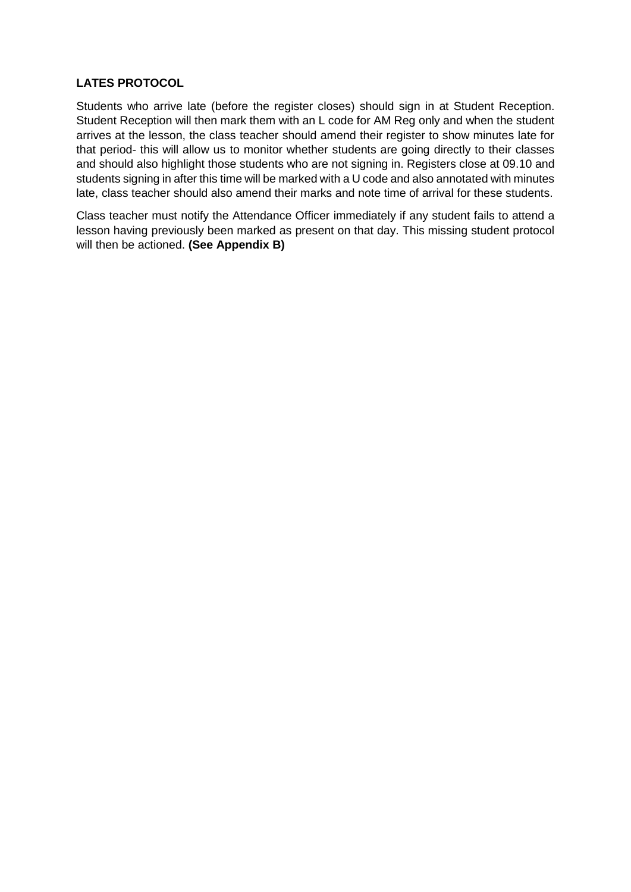## **LATES PROTOCOL**

Students who arrive late (before the register closes) should sign in at Student Reception. Student Reception will then mark them with an L code for AM Reg only and when the student arrives at the lesson, the class teacher should amend their register to show minutes late for that period- this will allow us to monitor whether students are going directly to their classes and should also highlight those students who are not signing in. Registers close at 09.10 and students signing in after this time will be marked with a U code and also annotated with minutes late, class teacher should also amend their marks and note time of arrival for these students.

Class teacher must notify the Attendance Officer immediately if any student fails to attend a lesson having previously been marked as present on that day. This missing student protocol will then be actioned. **(See Appendix B)**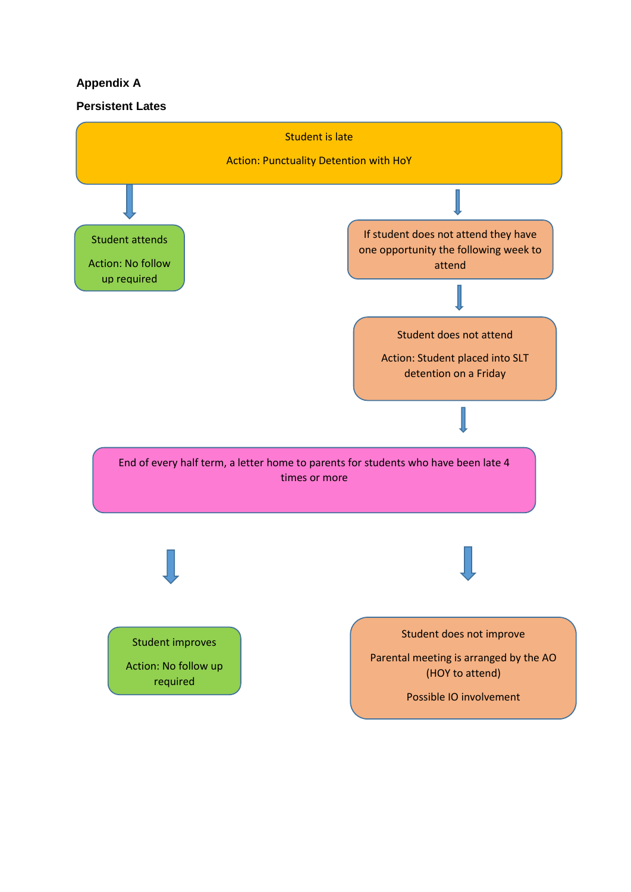# **Appendix A**

## **Persistent Lates**